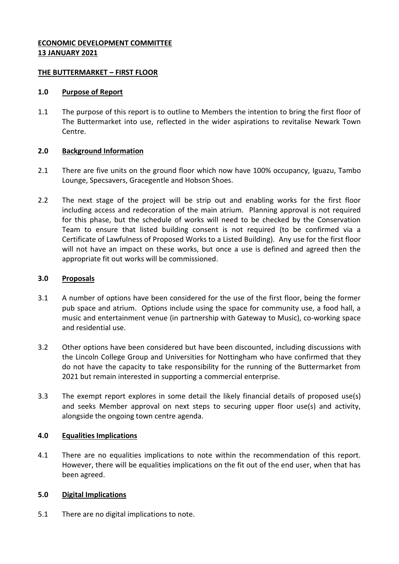## **ECONOMIC DEVELOPMENT COMMITTEE 13 JANUARY 2021**

### **THE BUTTERMARKET – FIRST FLOOR**

### **1.0 Purpose of Report**

1.1 The purpose of this report is to outline to Members the intention to bring the first floor of The Buttermarket into use, reflected in the wider aspirations to revitalise Newark Town Centre.

# **2.0 Background Information**

- 2.1 There are five units on the ground floor which now have 100% occupancy, Iguazu, Tambo Lounge, Specsavers, Gracegentle and Hobson Shoes.
- 2.2 The next stage of the project will be strip out and enabling works for the first floor including access and redecoration of the main atrium. Planning approval is not required for this phase, but the schedule of works will need to be checked by the Conservation Team to ensure that listed building consent is not required (to be confirmed via a Certificate of Lawfulness of Proposed Works to a Listed Building). Any use for the first floor will not have an impact on these works, but once a use is defined and agreed then the appropriate fit out works will be commissioned.

## **3.0 Proposals**

- 3.1 A number of options have been considered for the use of the first floor, being the former pub space and atrium. Options include using the space for community use, a food hall, a music and entertainment venue (in partnership with Gateway to Music), co-working space and residential use.
- 3.2 Other options have been considered but have been discounted, including discussions with the Lincoln College Group and Universities for Nottingham who have confirmed that they do not have the capacity to take responsibility for the running of the Buttermarket from 2021 but remain interested in supporting a commercial enterprise.
- 3.3 The exempt report explores in some detail the likely financial details of proposed use(s) and seeks Member approval on next steps to securing upper floor use(s) and activity, alongside the ongoing town centre agenda.

# **4.0 Equalities Implications**

4.1 There are no equalities implications to note within the recommendation of this report. However, there will be equalities implications on the fit out of the end user, when that has been agreed.

# **5.0 Digital Implications**

5.1 There are no digital implications to note.